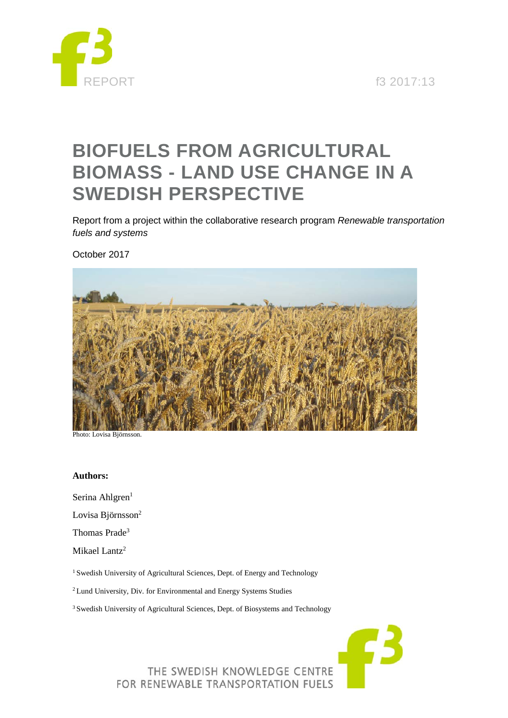

REPORT f3 2017:13

# **BIOFUELS FROM AGRICULTURAL BIOMASS - LAND USE CHANGE IN A SWEDISH PERSPECTIVE**

Report from a project within the collaborative research program *Renewable transportation fuels and systems*

October 2017



Photo: Lovisa Björnsson.

#### **Authors:**

Serina Ahlgren<sup>1</sup>

Lovisa Björnsson<sup>2</sup>

Thomas Prade3

Mikael Lantz<sup>2</sup>

<sup>1</sup> Swedish University of Agricultural Sciences, Dept. of Energy and Technology

<sup>2</sup> Lund University, Div. for Environmental and Energy Systems Studies

<sup>3</sup> Swedish University of Agricultural Sciences, Dept. of Biosystems and Technology

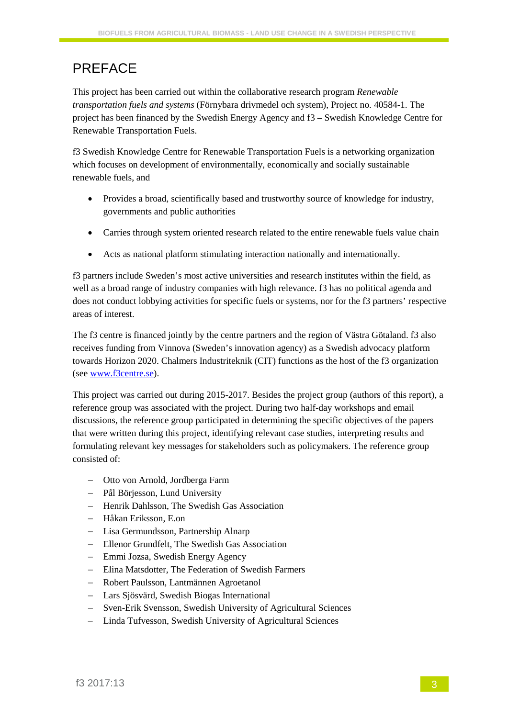## PREFACE

This project has been carried out within the collaborative research program *Renewable transportation fuels and systems* (Förnybara drivmedel och system), Project no. 40584-1. The project has been financed by the Swedish Energy Agency and f3 – Swedish Knowledge Centre for Renewable Transportation Fuels.

f3 Swedish Knowledge Centre for Renewable Transportation Fuels is a networking organization which focuses on development of environmentally, economically and socially sustainable renewable fuels, and

- Provides a broad, scientifically based and trustworthy source of knowledge for industry, governments and public authorities
- Carries through system oriented research related to the entire renewable fuels value chain
- Acts as national platform stimulating interaction nationally and internationally.

f3 partners include Sweden's most active universities and research institutes within the field, as well as a broad range of industry companies with high relevance. f3 has no political agenda and does not conduct lobbying activities for specific fuels or systems, nor for the f3 partners' respective areas of interest.

The f3 centre is financed jointly by the centre partners and the region of Västra Götaland. f3 also receives funding from Vinnova (Sweden's innovation agency) as a Swedish advocacy platform towards Horizon 2020. Chalmers Industriteknik (CIT) functions as the host of the f3 organization (see [www.f3centre.se\)](http://www.f3centre.se/).

This project was carried out during 2015-2017. Besides the project group (authors of this report), a reference group was associated with the project. During two half-day workshops and email discussions, the reference group participated in determining the specific objectives of the papers that were written during this project, identifying relevant case studies, interpreting results and formulating relevant key messages for stakeholders such as policymakers. The reference group consisted of:

- − Otto von Arnold, Jordberga Farm
- − Pål Börjesson, Lund University
- − Henrik Dahlsson, The Swedish Gas Association
- − Håkan Eriksson, E.on
- − Lisa Germundsson, Partnership Alnarp
- − Ellenor Grundfelt, The Swedish Gas Association
- − Emmi Jozsa, Swedish Energy Agency
- − Elina Matsdotter, The Federation of Swedish Farmers
- − Robert Paulsson, Lantmännen Agroetanol
- − Lars Sjösvärd, Swedish Biogas International
- − Sven-Erik Svensson, Swedish University of Agricultural Sciences
- − Linda Tufvesson, Swedish University of Agricultural Sciences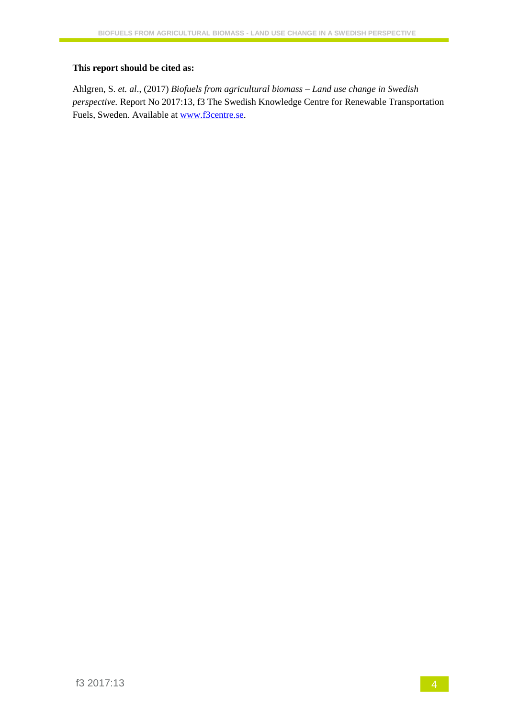#### **This report should be cited as:**

Ahlgren, S. *et. al*., (2017) *Biofuels from agricultural biomass – Land use change in Swedish perspective.* Report No 2017:13, f3 The Swedish Knowledge Centre for Renewable Transportation Fuels, Sweden. Available at [www.f3centre.se.](http://www.f3centre.se/)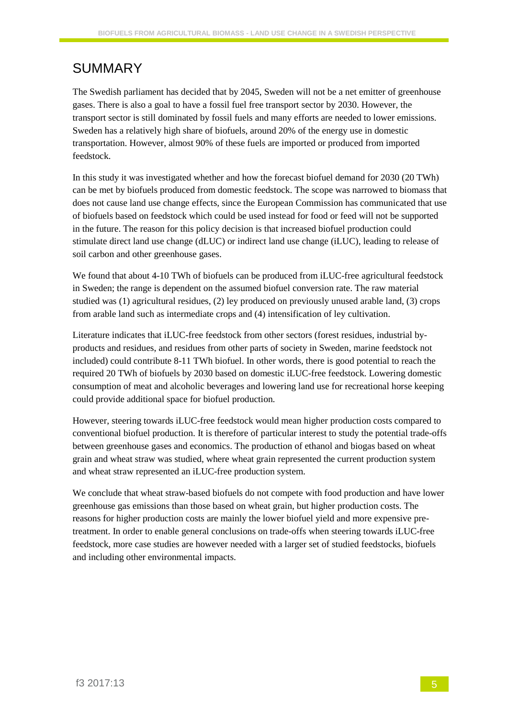## SUMMARY

The Swedish parliament has decided that by 2045, Sweden will not be a net emitter of greenhouse gases. There is also a goal to have a fossil fuel free transport sector by 2030. However, the transport sector is still dominated by fossil fuels and many efforts are needed to lower emissions. Sweden has a relatively high share of biofuels, around 20% of the energy use in domestic transportation. However, almost 90% of these fuels are imported or produced from imported feedstock.

In this study it was investigated whether and how the forecast biofuel demand for 2030 (20 TWh) can be met by biofuels produced from domestic feedstock. The scope was narrowed to biomass that does not cause land use change effects, since the European Commission has communicated that use of biofuels based on feedstock which could be used instead for food or feed will not be supported in the future. The reason for this policy decision is that increased biofuel production could stimulate direct land use change (dLUC) or indirect land use change (iLUC), leading to release of soil carbon and other greenhouse gases.

We found that about 4-10 TWh of biofuels can be produced from iLUC-free agricultural feedstock in Sweden; the range is dependent on the assumed biofuel conversion rate. The raw material studied was (1) agricultural residues, (2) ley produced on previously unused arable land, (3) crops from arable land such as intermediate crops and (4) intensification of ley cultivation.

Literature indicates that iLUC-free feedstock from other sectors (forest residues, industrial byproducts and residues, and residues from other parts of society in Sweden, marine feedstock not included) could contribute 8-11 TWh biofuel. In other words, there is good potential to reach the required 20 TWh of biofuels by 2030 based on domestic iLUC-free feedstock. Lowering domestic consumption of meat and alcoholic beverages and lowering land use for recreational horse keeping could provide additional space for biofuel production.

However, steering towards iLUC-free feedstock would mean higher production costs compared to conventional biofuel production. It is therefore of particular interest to study the potential trade-offs between greenhouse gases and economics. The production of ethanol and biogas based on wheat grain and wheat straw was studied, where wheat grain represented the current production system and wheat straw represented an iLUC-free production system.

We conclude that wheat straw-based biofuels do not compete with food production and have lower greenhouse gas emissions than those based on wheat grain, but higher production costs. The reasons for higher production costs are mainly the lower biofuel yield and more expensive pretreatment. In order to enable general conclusions on trade-offs when steering towards iLUC-free feedstock, more case studies are however needed with a larger set of studied feedstocks, biofuels and including other environmental impacts.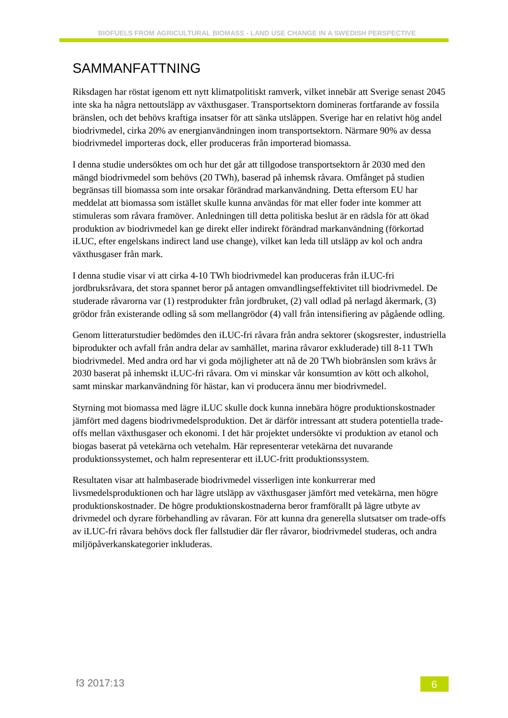## SAMMANFATTNING

Riksdagen har röstat igenom ett nytt klimatpolitiskt ramverk, vilket innebär att Sverige senast 2045 inte ska ha några nettoutsläpp av växthusgaser. Transportsektorn domineras fortfarande av fossila bränslen, och det behövs kraftiga insatser för att sänka utsläppen. Sverige har en relativt hög andel biodrivmedel, cirka 20% av energianvändningen inom transportsektorn. Närmare 90% av dessa biodrivmedel importeras dock, eller produceras från importerad biomassa.

I denna studie undersöktes om och hur det går att tillgodose transportsektorn år 2030 med den mängd biodrivmedel som behövs (20 TWh), baserad på inhemsk råvara. Omfånget på studien begränsas till biomassa som inte orsakar förändrad markanvändning. Detta eftersom EU har meddelat att biomassa som istället skulle kunna användas för mat eller foder inte kommer att stimuleras som råvara framöver. Anledningen till detta politiska beslut är en rädsla för att ökad produktion av biodrivmedel kan ge direkt eller indirekt förändrad markanvändning (förkortad iLUC, efter engelskans indirect land use change), vilket kan leda till utsläpp av kol och andra växthusgaser från mark.

I denna studie visar vi att cirka 4-10 TWh biodrivmedel kan produceras från iLUC-fri jordbruksråvara, det stora spannet beror på antagen omvandlingseffektivitet till biodrivmedel. De studerade råvarorna var (1) restprodukter från jordbruket, (2) vall odlad på nerlagd åkermark, (3) grödor från existerande odling så som mellangrödor (4) vall från intensifiering av pågående odling.

Genom litteraturstudier bedömdes den iLUC-fri råvara från andra sektorer (skogsrester, industriella biprodukter och avfall från andra delar av samhället, marina råvaror exkluderade) till 8-11 TWh biodrivmedel. Med andra ord har vi goda möjligheter att nå de 20 TWh biobränslen som krävs år 2030 baserat på inhemskt iLUC-fri råvara. Om vi minskar vår konsumtion av kött och alkohol, samt minskar markanvändning för hästar, kan vi producera ännu mer biodrivmedel.

Styrning mot biomassa med lägre iLUC skulle dock kunna innebära högre produktionskostnader jämfört med dagens biodrivmedelsproduktion. Det är därför intressant att studera potentiella tradeoffs mellan växthusgaser och ekonomi. I det här projektet undersökte vi produktion av etanol och biogas baserat på vetekärna och vetehalm. Här representerar vetekärna det nuvarande produktionssystemet, och halm representerar ett iLUC-fritt produktionssystem.

Resultaten visar att halmbaserade biodrivmedel visserligen inte konkurrerar med livsmedelsproduktionen och har lägre utsläpp av växthusgaser jämfört med vetekärna, men högre produktionskostnader. De högre produktionskostnaderna beror framförallt på lägre utbyte av drivmedel och dyrare förbehandling av råvaran. För att kunna dra generella slutsatser om trade-offs av iLUC-fri råvara behövs dock fler fallstudier där fler råvaror, biodrivmedel studeras, och andra miljöpåverkanskategorier inkluderas.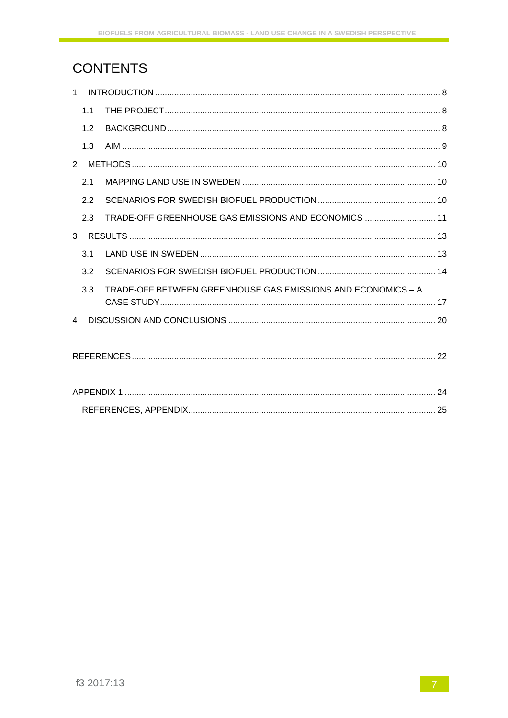## **CONTENTS**

|                | 1.1 |                                                              |  |  |  |  |
|----------------|-----|--------------------------------------------------------------|--|--|--|--|
|                | 1.2 |                                                              |  |  |  |  |
|                | 1.3 |                                                              |  |  |  |  |
|                |     |                                                              |  |  |  |  |
|                | 21  |                                                              |  |  |  |  |
|                | 2.2 |                                                              |  |  |  |  |
|                | 2.3 | TRADE-OFF GREENHOUSE GAS EMISSIONS AND ECONOMICS  11         |  |  |  |  |
|                |     |                                                              |  |  |  |  |
|                | 3.1 |                                                              |  |  |  |  |
|                | 3.2 |                                                              |  |  |  |  |
|                | 3.3 | TRADE-OFF BETWEEN GREENHOUSE GAS EMISSIONS AND ECONOMICS - A |  |  |  |  |
|                |     |                                                              |  |  |  |  |
| $\overline{4}$ |     |                                                              |  |  |  |  |
|                |     |                                                              |  |  |  |  |
|                |     |                                                              |  |  |  |  |
|                |     |                                                              |  |  |  |  |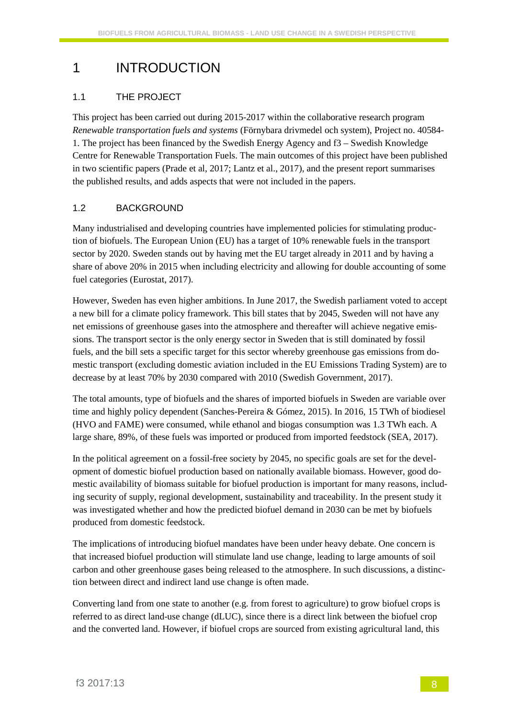## 1 INTRODUCTION

### 1.1 THE PROJECT

This project has been carried out during 2015-2017 within the collaborative research program *Renewable transportation fuels and systems* (Förnybara drivmedel och system), Project no. 40584- 1. The project has been financed by the Swedish Energy Agency and f3 – Swedish Knowledge Centre for Renewable Transportation Fuels. The main outcomes of this project have been published in two scientific papers (Prade et al, 2017; Lantz et al., 2017), and the present report summarises the published results, and adds aspects that were not included in the papers.

### 1.2 BACKGROUND

Many industrialised and developing countries have implemented policies for stimulating production of biofuels. The European Union (EU) has a target of 10% renewable fuels in the transport sector by 2020. Sweden stands out by having met the EU target already in 2011 and by having a share of above 20% in 2015 when including electricity and allowing for double accounting of some fuel categories (Eurostat, 2017).

However, Sweden has even higher ambitions. In June 2017, the Swedish parliament voted to accept a new bill for a climate policy framework. This bill states that by 2045, Sweden will not have any net emissions of greenhouse gases into the atmosphere and thereafter will achieve negative emissions. The transport sector is the only energy sector in Sweden that is still dominated by fossil fuels, and the bill sets a specific target for this sector whereby greenhouse gas emissions from domestic transport (excluding domestic aviation included in the EU Emissions Trading System) are to decrease by at least 70% by 2030 compared with 2010 (Swedish Government, 2017).

The total amounts, type of biofuels and the shares of imported biofuels in Sweden are variable over time and highly policy dependent (Sanches-Pereira & Gómez, 2015). In 2016, 15 TWh of biodiesel (HVO and FAME) were consumed, while ethanol and biogas consumption was 1.3 TWh each. A large share, 89%, of these fuels was imported or produced from imported feedstock (SEA, 2017).

In the political agreement on a fossil-free society by 2045, no specific goals are set for the development of domestic biofuel production based on nationally available biomass. However, good domestic availability of biomass suitable for biofuel production is important for many reasons, including security of supply, regional development, sustainability and traceability. In the present study it was investigated whether and how the predicted biofuel demand in 2030 can be met by biofuels produced from domestic feedstock.

The implications of introducing biofuel mandates have been under heavy debate. One concern is that increased biofuel production will stimulate land use change, leading to large amounts of soil carbon and other greenhouse gases being released to the atmosphere. In such discussions, a distinction between direct and indirect land use change is often made.

Converting land from one state to another (e.g. from forest to agriculture) to grow biofuel crops is referred to as direct land-use change (dLUC), since there is a direct link between the biofuel crop and the converted land. However, if biofuel crops are sourced from existing agricultural land, this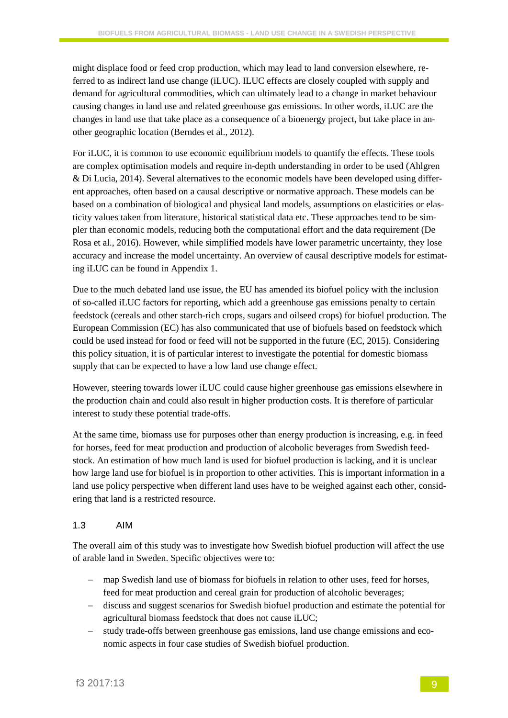might displace food or feed crop production, which may lead to land conversion elsewhere, referred to as indirect land use change (iLUC). ILUC effects are closely coupled with supply and demand for agricultural commodities, which can ultimately lead to a change in market behaviour causing changes in land use and related greenhouse gas emissions. In other words, iLUC are the changes in land use that take place as a consequence of a bioenergy project, but take place in another geographic location (Berndes et al., 2012).

For iLUC, it is common to use economic equilibrium models to quantify the effects. These tools are complex optimisation models and require in-depth understanding in order to be used (Ahlgren & Di Lucia, 2014). Several alternatives to the economic models have been developed using different approaches, often based on a causal descriptive or normative approach. These models can be based on a combination of biological and physical land models, assumptions on elasticities or elasticity values taken from literature, historical statistical data etc. These approaches tend to be simpler than economic models, reducing both the computational effort and the data requirement (De Rosa et al., 2016). However, while simplified models have lower parametric uncertainty, they lose accuracy and increase the model uncertainty. An overview of causal descriptive models for estimating iLUC can be found in Appendix 1.

Due to the much debated land use issue, the EU has amended its biofuel policy with the inclusion of so-called iLUC factors for reporting, which add a greenhouse gas emissions penalty to certain feedstock (cereals and other starch-rich crops, sugars and oilseed crops) for biofuel production. The European Commission (EC) has also communicated that use of biofuels based on feedstock which could be used instead for food or feed will not be supported in the future (EC, 2015). Considering this policy situation, it is of particular interest to investigate the potential for domestic biomass supply that can be expected to have a low land use change effect.

However, steering towards lower iLUC could cause higher greenhouse gas emissions elsewhere in the production chain and could also result in higher production costs. It is therefore of particular interest to study these potential trade-offs.

At the same time, biomass use for purposes other than energy production is increasing, e.g. in feed for horses, feed for meat production and production of alcoholic beverages from Swedish feedstock. An estimation of how much land is used for biofuel production is lacking, and it is unclear how large land use for biofuel is in proportion to other activities. This is important information in a land use policy perspective when different land uses have to be weighed against each other, considering that land is a restricted resource.

#### 1.3 AIM

The overall aim of this study was to investigate how Swedish biofuel production will affect the use of arable land in Sweden. Specific objectives were to:

- − map Swedish land use of biomass for biofuels in relation to other uses, feed for horses, feed for meat production and cereal grain for production of alcoholic beverages;
- − discuss and suggest scenarios for Swedish biofuel production and estimate the potential for agricultural biomass feedstock that does not cause iLUC;
- − study trade-offs between greenhouse gas emissions, land use change emissions and economic aspects in four case studies of Swedish biofuel production.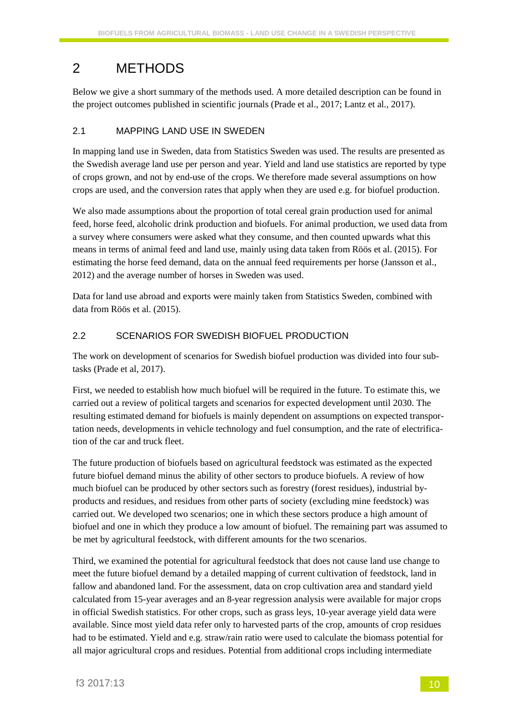## 2 METHODS

Below we give a short summary of the methods used. A more detailed description can be found in the project outcomes published in scientific journals (Prade et al., 2017; Lantz et al., 2017).

### 2.1 MAPPING LAND USE IN SWEDEN

In mapping land use in Sweden, data from Statistics Sweden was used. The results are presented as the Swedish average land use per person and year. Yield and land use statistics are reported by type of crops grown, and not by end-use of the crops. We therefore made several assumptions on how crops are used, and the conversion rates that apply when they are used e.g. for biofuel production.

We also made assumptions about the proportion of total cereal grain production used for animal feed, horse feed, alcoholic drink production and biofuels. For animal production, we used data from a survey where consumers were asked what they consume, and then counted upwards what this means in terms of animal feed and land use, mainly using data taken from Röös et al. (2015). For estimating the horse feed demand, data on the annual feed requirements per horse (Jansson et al., 2012) and the average number of horses in Sweden was used.

Data for land use abroad and exports were mainly taken from Statistics Sweden, combined with data from Röös et al. (2015).

### 2.2 SCENARIOS FOR SWEDISH BIOFUEL PRODUCTION

The work on development of scenarios for Swedish biofuel production was divided into four subtasks (Prade et al, 2017).

First, we needed to establish how much biofuel will be required in the future. To estimate this, we carried out a review of political targets and scenarios for expected development until 2030. The resulting estimated demand for biofuels is mainly dependent on assumptions on expected transportation needs, developments in vehicle technology and fuel consumption, and the rate of electrification of the car and truck fleet.

The future production of biofuels based on agricultural feedstock was estimated as the expected future biofuel demand minus the ability of other sectors to produce biofuels. A review of how much biofuel can be produced by other sectors such as forestry (forest residues), industrial byproducts and residues, and residues from other parts of society (excluding mine feedstock) was carried out. We developed two scenarios; one in which these sectors produce a high amount of biofuel and one in which they produce a low amount of biofuel. The remaining part was assumed to be met by agricultural feedstock, with different amounts for the two scenarios.

Third, we examined the potential for agricultural feedstock that does not cause land use change to meet the future biofuel demand by a detailed mapping of current cultivation of feedstock, land in fallow and abandoned land. For the assessment, data on crop cultivation area and standard yield calculated from 15-year averages and an 8-year regression analysis were available for major crops in official Swedish statistics. For other crops, such as grass leys, 10-year average yield data were available. Since most yield data refer only to harvested parts of the crop, amounts of crop residues had to be estimated. Yield and e.g. straw/rain ratio were used to calculate the biomass potential for all major agricultural crops and residues. Potential from additional crops including intermediate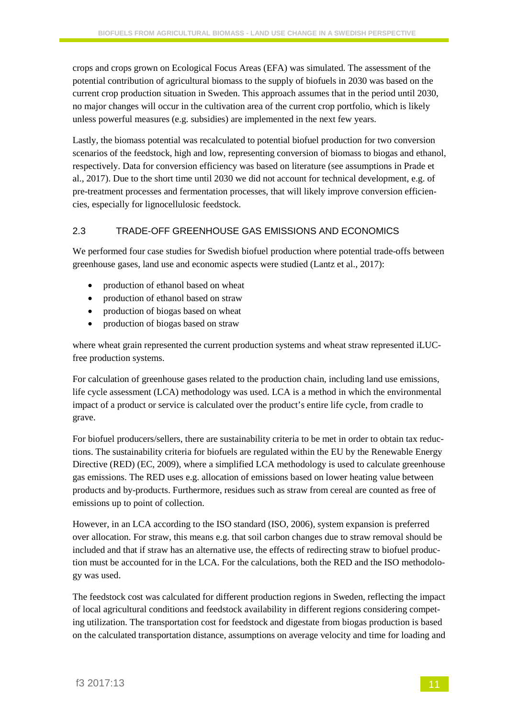crops and crops grown on Ecological Focus Areas (EFA) was simulated. The assessment of the potential contribution of agricultural biomass to the supply of biofuels in 2030 was based on the current crop production situation in Sweden. This approach assumes that in the period until 2030, no major changes will occur in the cultivation area of the current crop portfolio, which is likely unless powerful measures (e.g. subsidies) are implemented in the next few years.

Lastly, the biomass potential was recalculated to potential biofuel production for two conversion scenarios of the feedstock, high and low, representing conversion of biomass to biogas and ethanol, respectively. Data for conversion efficiency was based on literature (see assumptions in Prade et al., 2017). Due to the short time until 2030 we did not account for technical development, e.g. of pre-treatment processes and fermentation processes, that will likely improve conversion efficiencies, especially for lignocellulosic feedstock.

#### 2.3 TRADE-OFF GREENHOUSE GAS EMISSIONS AND ECONOMICS

We performed four case studies for Swedish biofuel production where potential trade-offs between greenhouse gases, land use and economic aspects were studied (Lantz et al., 2017):

- production of ethanol based on wheat
- production of ethanol based on straw
- production of biogas based on wheat
- production of biogas based on straw

where wheat grain represented the current production systems and wheat straw represented iLUCfree production systems.

For calculation of greenhouse gases related to the production chain, including land use emissions, life cycle assessment (LCA) methodology was used. LCA is a method in which the environmental impact of a product or service is calculated over the product's entire life cycle, from cradle to grave.

For biofuel producers/sellers, there are sustainability criteria to be met in order to obtain tax reductions. The sustainability criteria for biofuels are regulated within the EU by the Renewable Energy Directive (RED) (EC, 2009), where a simplified LCA methodology is used to calculate greenhouse gas emissions. The RED uses e.g. allocation of emissions based on lower heating value between products and by-products. Furthermore, residues such as straw from cereal are counted as free of emissions up to point of collection.

However, in an LCA according to the ISO standard (ISO, 2006), system expansion is preferred over allocation. For straw, this means e.g. that soil carbon changes due to straw removal should be included and that if straw has an alternative use, the effects of redirecting straw to biofuel production must be accounted for in the LCA. For the calculations, both the RED and the ISO methodology was used.

The feedstock cost was calculated for different production regions in Sweden, reflecting the impact of local agricultural conditions and feedstock availability in different regions considering competing utilization. The transportation cost for feedstock and digestate from biogas production is based on the calculated transportation distance, assumptions on average velocity and time for loading and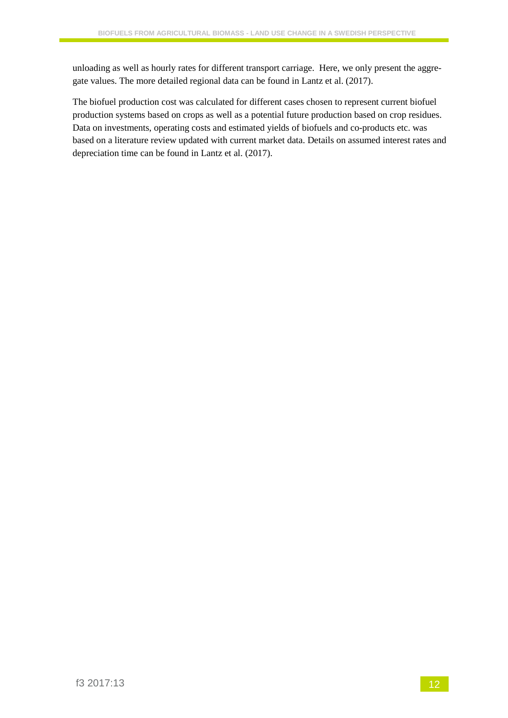unloading as well as hourly rates for different transport carriage. Here, we only present the aggregate values. The more detailed regional data can be found in Lantz et al. (2017).

The biofuel production cost was calculated for different cases chosen to represent current biofuel production systems based on crops as well as a potential future production based on crop residues. Data on investments, operating costs and estimated yields of biofuels and co-products etc. was based on a literature review updated with current market data. Details on assumed interest rates and depreciation time can be found in Lantz et al. (2017).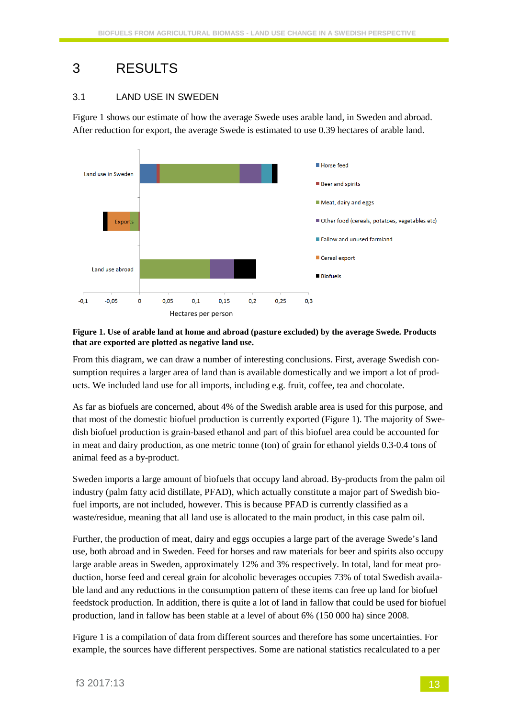## 3 RESULTS

### 3.1 LAND USE IN SWEDEN

[Figure 1](#page-12-0) shows our estimate of how the average Swede uses arable land, in Sweden and abroad. After reduction for export, the average Swede is estimated to use 0.39 hectares of arable land.



#### <span id="page-12-0"></span>**Figure 1. Use of arable land at home and abroad (pasture excluded) by the average Swede. Products that are exported are plotted as negative land use.**

From this diagram, we can draw a number of interesting conclusions. First, average Swedish consumption requires a larger area of land than is available domestically and we import a lot of products. We included land use for all imports, including e.g. fruit, coffee, tea and chocolate.

As far as biofuels are concerned, about 4% of the Swedish arable area is used for this purpose, and that most of the domestic biofuel production is currently exported (Figure 1). The majority of Swedish biofuel production is grain-based ethanol and part of this biofuel area could be accounted for in meat and dairy production, as one metric tonne (ton) of grain for ethanol yields 0.3-0.4 tons of animal feed as a by-product.

Sweden imports a large amount of biofuels that occupy land abroad. By-products from the palm oil industry (palm fatty acid distillate, PFAD), which actually constitute a major part of Swedish biofuel imports, are not included, however. This is because PFAD is currently classified as a waste/residue, meaning that all land use is allocated to the main product, in this case palm oil.

Further, the production of meat, dairy and eggs occupies a large part of the average Swede's land use, both abroad and in Sweden. Feed for horses and raw materials for beer and spirits also occupy large arable areas in Sweden, approximately 12% and 3% respectively. In total, land for meat production, horse feed and cereal grain for alcoholic beverages occupies 73% of total Swedish available land and any reductions in the consumption pattern of these items can free up land for biofuel feedstock production. In addition, there is quite a lot of land in fallow that could be used for biofuel production, land in fallow has been stable at a level of about 6% (150 000 ha) since 2008.

[Figure 1](#page-12-0) is a compilation of data from different sources and therefore has some uncertainties. For example, the sources have different perspectives. Some are national statistics recalculated to a per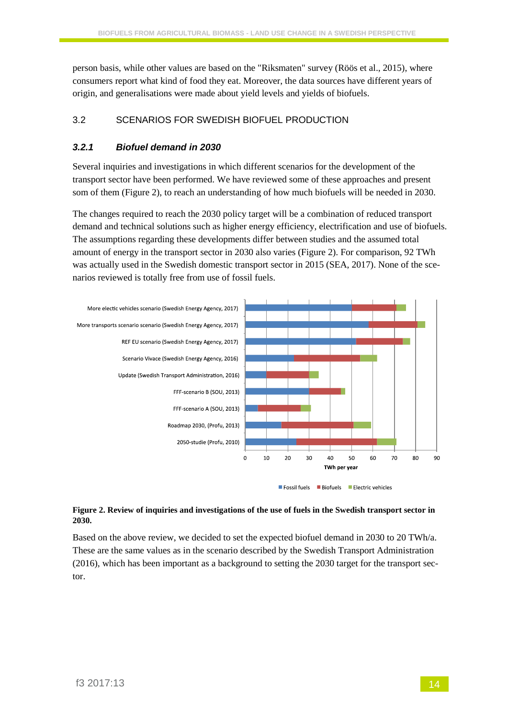person basis, while other values are based on the "Riksmaten" survey (Röös et al., 2015), where consumers report what kind of food they eat. Moreover, the data sources have different years of origin, and generalisations were made about yield levels and yields of biofuels.

### 3.2 SCENARIOS FOR SWEDISH BIOFUEL PRODUCTION

#### *3.2.1 Biofuel demand in 2030*

Several inquiries and investigations in which different scenarios for the development of the transport sector have been performed. We have reviewed some of these approaches and present som of them (Figure 2), to reach an understanding of how much biofuels will be needed in 2030.

The changes required to reach the 2030 policy target will be a combination of reduced transport demand and technical solutions such as higher energy efficiency, electrification and use of biofuels. The assumptions regarding these developments differ between studies and the assumed total amount of energy in the transport sector in 2030 also varies (Figure 2). For comparison, 92 TWh was actually used in the Swedish domestic transport sector in 2015 (SEA, 2017). None of the scenarios reviewed is totally free from use of fossil fuels.



#### **Figure 2. Review of inquiries and investigations of the use of fuels in the Swedish transport sector in 2030.**

Based on the above review, we decided to set the expected biofuel demand in 2030 to 20 TWh/a. These are the same values as in the scenario described by the Swedish Transport Administration (2016), which has been important as a background to setting the 2030 target for the transport sector.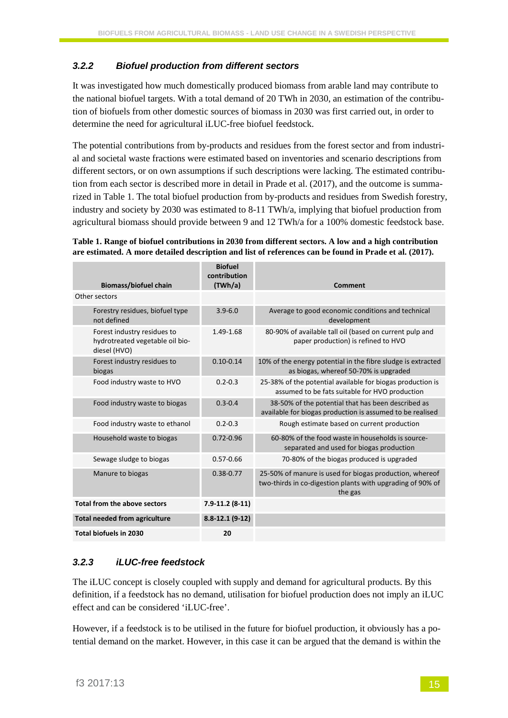#### *3.2.2 Biofuel production from different sectors*

It was investigated how much domestically produced biomass from arable land may contribute to the national biofuel targets. With a total demand of 20 TWh in 2030, an estimation of the contribution of biofuels from other domestic sources of biomass in 2030 was first carried out, in order to determine the need for agricultural iLUC-free biofuel feedstock.

The potential contributions from by-products and residues from the forest sector and from industrial and societal waste fractions were estimated based on inventories and scenario descriptions from different sectors, or on own assumptions if such descriptions were lacking. The estimated contribution from each sector is described more in detail in Prade et al. (2017), and the outcome is summarized in [Table 1.](#page-14-0) The total biofuel production from by-products and residues from Swedish forestry, industry and society by 2030 was estimated to 8-11 TWh/a, implying that biofuel production from agricultural biomass should provide between 9 and 12 TWh/a for a 100% domestic feedstock base.

<span id="page-14-0"></span>**Table 1. Range of biofuel contributions in 2030 from different sectors. A low and a high contribution are estimated. A more detailed description and list of references can be found in Prade et al. (2017).**

| <b>Biomass/biofuel chain</b>                                                   | <b>Biofuel</b><br>contribution<br>(TWh/a) | Comment                                                                                                                          |
|--------------------------------------------------------------------------------|-------------------------------------------|----------------------------------------------------------------------------------------------------------------------------------|
| Other sectors                                                                  |                                           |                                                                                                                                  |
| Forestry residues, biofuel type<br>not defined                                 | $3.9 - 6.0$                               | Average to good economic conditions and technical<br>development                                                                 |
| Forest industry residues to<br>hydrotreated vegetable oil bio-<br>diesel (HVO) | 1.49-1.68                                 | 80-90% of available tall oil (based on current pulp and<br>paper production) is refined to HVO                                   |
| Forest industry residues to<br>biogas                                          | $0.10 - 0.14$                             | 10% of the energy potential in the fibre sludge is extracted<br>as biogas, whereof 50-70% is upgraded                            |
| Food industry waste to HVO                                                     | $0.2 - 0.3$                               | 25-38% of the potential available for biogas production is<br>assumed to be fats suitable for HVO production                     |
| Food industry waste to biogas                                                  | $0.3 - 0.4$                               | 38-50% of the potential that has been described as<br>available for biogas production is assumed to be realised                  |
| Food industry waste to ethanol                                                 | $0.2 - 0.3$                               | Rough estimate based on current production                                                                                       |
| Household waste to biogas                                                      | $0.72 - 0.96$                             | 60-80% of the food waste in households is source-<br>separated and used for biogas production                                    |
| Sewage sludge to biogas                                                        | $0.57 - 0.66$                             | 70-80% of the biogas produced is upgraded                                                                                        |
| Manure to biogas                                                               | $0.38 - 0.77$                             | 25-50% of manure is used for biogas production, whereof<br>two-thirds in co-digestion plants with upgrading of 90% of<br>the gas |
| Total from the above sectors                                                   | $7.9 - 11.2$ (8-11)                       |                                                                                                                                  |
| <b>Total needed from agriculture</b>                                           | $8.8 - 12.1(9 - 12)$                      |                                                                                                                                  |
| Total biofuels in 2030                                                         | 20                                        |                                                                                                                                  |

### *3.2.3 iLUC-free feedstock*

The iLUC concept is closely coupled with supply and demand for agricultural products. By this definition, if a feedstock has no demand, utilisation for biofuel production does not imply an iLUC effect and can be considered 'iLUC-free'.

However, if a feedstock is to be utilised in the future for biofuel production, it obviously has a potential demand on the market. However, in this case it can be argued that the demand is within the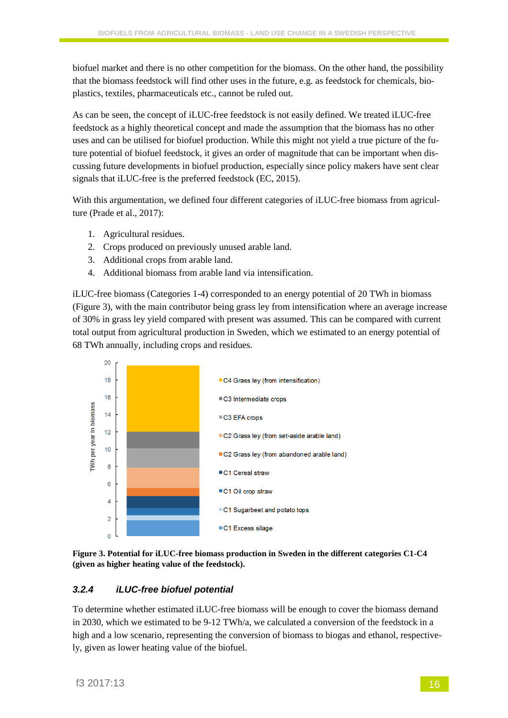biofuel market and there is no other competition for the biomass. On the other hand, the possibility that the biomass feedstock will find other uses in the future, e.g. as feedstock for chemicals, bioplastics, textiles, pharmaceuticals etc., cannot be ruled out.

As can be seen, the concept of iLUC-free feedstock is not easily defined. We treated iLUC-free feedstock as a highly theoretical concept and made the assumption that the biomass has no other uses and can be utilised for biofuel production. While this might not yield a true picture of the future potential of biofuel feedstock, it gives an order of magnitude that can be important when discussing future developments in biofuel production, especially since policy makers have sent clear signals that iLUC-free is the preferred feedstock (EC, 2015).

With this argumentation, we defined four different categories of iLUC-free biomass from agriculture (Prade et al., 2017):

- 1. Agricultural residues.
- 2. Crops produced on previously unused arable land.
- 3. Additional crops from arable land.
- 4. Additional biomass from arable land via intensification.

iLUC-free biomass (Categories 1-4) corresponded to an energy potential of 20 TWh in biomass (Figure 3), with the main contributor being grass ley from intensification where an average increase of 30% in grass ley yield compared with present was assumed. This can be compared with current total output from agricultural production in Sweden, which we estimated to an energy potential of 68 TWh annually, including crops and residues.





#### *3.2.4 iLUC-free biofuel potential*

To determine whether estimated iLUC-free biomass will be enough to cover the biomass demand in 2030, which we estimated to be 9-12 TWh/a, we calculated a conversion of the feedstock in a high and a low scenario, representing the conversion of biomass to biogas and ethanol, respectively, given as lower heating value of the biofuel.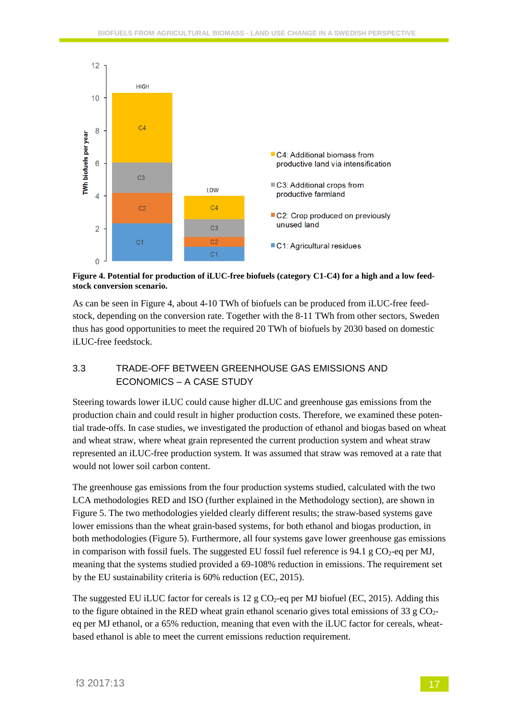

<span id="page-16-0"></span>**Figure 4. Potential for production of iLUC-free biofuels (category C1-C4) for a high and a low feedstock conversion scenario.**

As can be seen in [Figure 4,](#page-16-0) about 4-10 TWh of biofuels can be produced from iLUC-free feedstock, depending on the conversion rate. Together with the 8-11 TWh from other sectors, Sweden thus has good opportunities to meet the required 20 TWh of biofuels by 2030 based on domestic iLUC-free feedstock.

### 3.3 TRADE-OFF BETWEEN GREENHOUSE GAS EMISSIONS AND ECONOMICS – A CASE STUDY

Steering towards lower iLUC could cause higher dLUC and greenhouse gas emissions from the production chain and could result in higher production costs. Therefore, we examined these potential trade-offs. In case studies, we investigated the production of ethanol and biogas based on wheat and wheat straw, where wheat grain represented the current production system and wheat straw represented an iLUC-free production system. It was assumed that straw was removed at a rate that would not lower soil carbon content.

The greenhouse gas emissions from the four production systems studied, calculated with the two LCA methodologies RED and ISO (further explained in the Methodology section), are shown in [Figure 5.](#page-17-0) The two methodologies yielded clearly different results; the straw-based systems gave lower emissions than the wheat grain-based systems, for both ethanol and biogas production, in both methodologies (Figure 5). Furthermore, all four systems gave lower greenhouse gas emissions in comparison with fossil fuels. The suggested EU fossil fuel reference is 94.1 g  $CO<sub>2</sub>$ -eq per MJ, meaning that the systems studied provided a 69-108% reduction in emissions. The requirement set by the EU sustainability criteria is 60% reduction (EC, 2015).

The suggested EU iLUC factor for cereals is 12 g  $CO<sub>2</sub>$ -eq per MJ biofuel (EC, 2015). Adding this to the figure obtained in the RED wheat grain ethanol scenario gives total emissions of 33 g  $CO<sub>2</sub>$ eq per MJ ethanol, or a 65% reduction, meaning that even with the iLUC factor for cereals, wheatbased ethanol is able to meet the current emissions reduction requirement.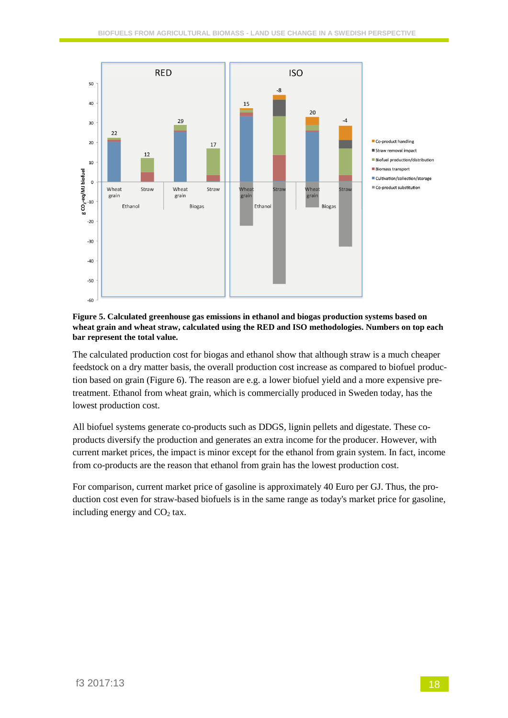

#### <span id="page-17-0"></span>**Figure 5. Calculated greenhouse gas emissions in ethanol and biogas production systems based on wheat grain and wheat straw, calculated using the RED and ISO methodologies. Numbers on top each bar represent the total value.**

The calculated production cost for biogas and ethanol show that although straw is a much cheaper feedstock on a dry matter basis, the overall production cost increase as compared to biofuel production based on grain (Figure 6). The reason are e.g. a lower biofuel yield and a more expensive pretreatment. Ethanol from wheat grain, which is commercially produced in Sweden today, has the lowest production cost.

All biofuel systems generate co-products such as DDGS, lignin pellets and digestate. These coproducts diversify the production and generates an extra income for the producer. However, with current market prices, the impact is minor except for the ethanol from grain system. In fact, income from co-products are the reason that ethanol from grain has the lowest production cost.

For comparison, current market price of gasoline is approximately 40 Euro per GJ. Thus, the production cost even for straw-based biofuels is in the same range as today's market price for gasoline, including energy and  $CO<sub>2</sub>$  tax.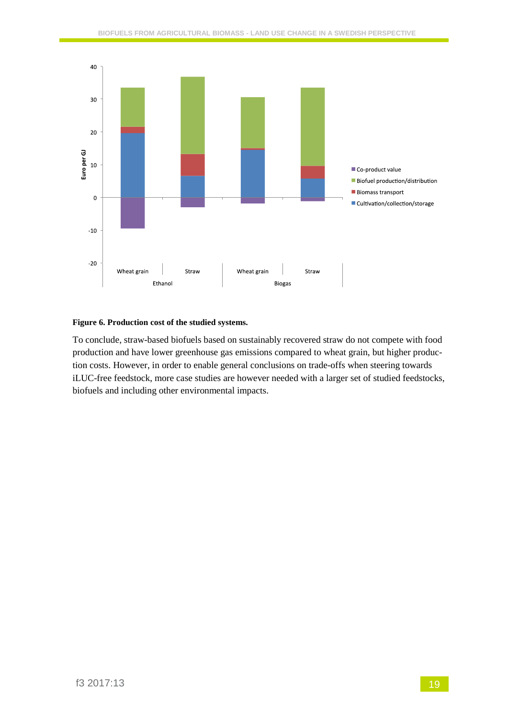

#### **Figure 6. Production cost of the studied systems.**

To conclude, straw-based biofuels based on sustainably recovered straw do not compete with food production and have lower greenhouse gas emissions compared to wheat grain, but higher production costs. However, in order to enable general conclusions on trade-offs when steering towards iLUC-free feedstock, more case studies are however needed with a larger set of studied feedstocks, biofuels and including other environmental impacts.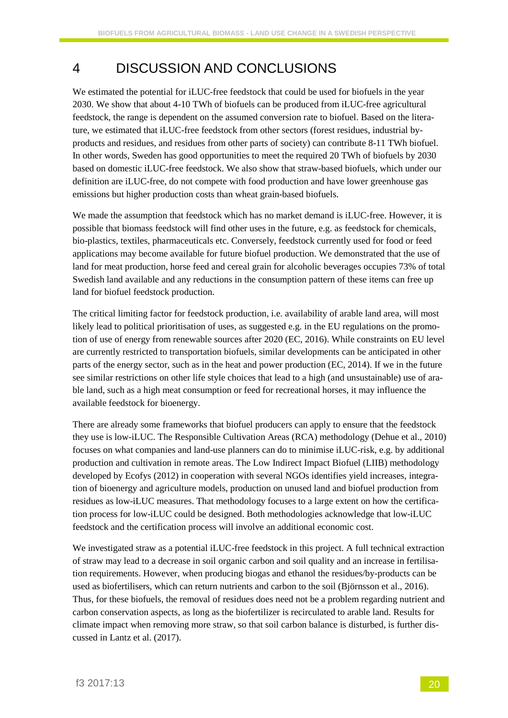### 4 DISCUSSION AND CONCLUSIONS

We estimated the potential for iLUC-free feedstock that could be used for biofuels in the year 2030. We show that about 4-10 TWh of biofuels can be produced from iLUC-free agricultural feedstock, the range is dependent on the assumed conversion rate to biofuel. Based on the literature, we estimated that iLUC-free feedstock from other sectors (forest residues, industrial byproducts and residues, and residues from other parts of society) can contribute 8-11 TWh biofuel. In other words, Sweden has good opportunities to meet the required 20 TWh of biofuels by 2030 based on domestic iLUC-free feedstock. We also show that straw-based biofuels, which under our definition are iLUC-free, do not compete with food production and have lower greenhouse gas emissions but higher production costs than wheat grain-based biofuels.

We made the assumption that feedstock which has no market demand is iLUC-free. However, it is possible that biomass feedstock will find other uses in the future, e.g. as feedstock for chemicals, bio-plastics, textiles, pharmaceuticals etc. Conversely, feedstock currently used for food or feed applications may become available for future biofuel production. We demonstrated that the use of land for meat production, horse feed and cereal grain for alcoholic beverages occupies 73% of total Swedish land available and any reductions in the consumption pattern of these items can free up land for biofuel feedstock production.

The critical limiting factor for feedstock production, i.e. availability of arable land area, will most likely lead to political prioritisation of uses, as suggested e.g. in the EU regulations on the promotion of use of energy from renewable sources after 2020 (EC, 2016). While constraints on EU level are currently restricted to transportation biofuels, similar developments can be anticipated in other parts of the energy sector, such as in the heat and power production (EC, 2014). If we in the future see similar restrictions on other life style choices that lead to a high (and unsustainable) use of arable land, such as a high meat consumption or feed for recreational horses, it may influence the available feedstock for bioenergy.

There are already some frameworks that biofuel producers can apply to ensure that the feedstock they use is low-iLUC. The Responsible Cultivation Areas (RCA) methodology (Dehue et al., 2010) focuses on what companies and land-use planners can do to minimise iLUC-risk, e.g. by additional production and cultivation in remote areas. The Low Indirect Impact Biofuel (LIIB) methodology developed by Ecofys (2012) in cooperation with several NGOs identifies yield increases, integration of bioenergy and agriculture models, production on unused land and biofuel production from residues as low-iLUC measures. That methodology focuses to a large extent on how the certification process for low-iLUC could be designed. Both methodologies acknowledge that low-iLUC feedstock and the certification process will involve an additional economic cost.

We investigated straw as a potential iLUC-free feedstock in this project. A full technical extraction of straw may lead to a decrease in soil organic carbon and soil quality and an increase in fertilisation requirements. However, when producing biogas and ethanol the residues/by-products can be used as biofertilisers, which can return nutrients and carbon to the soil (Björnsson et al., 2016). Thus, for these biofuels, the removal of residues does need not be a problem regarding nutrient and carbon conservation aspects, as long as the biofertilizer is recirculated to arable land. Results for climate impact when removing more straw, so that soil carbon balance is disturbed, is further discussed in Lantz et al. (2017).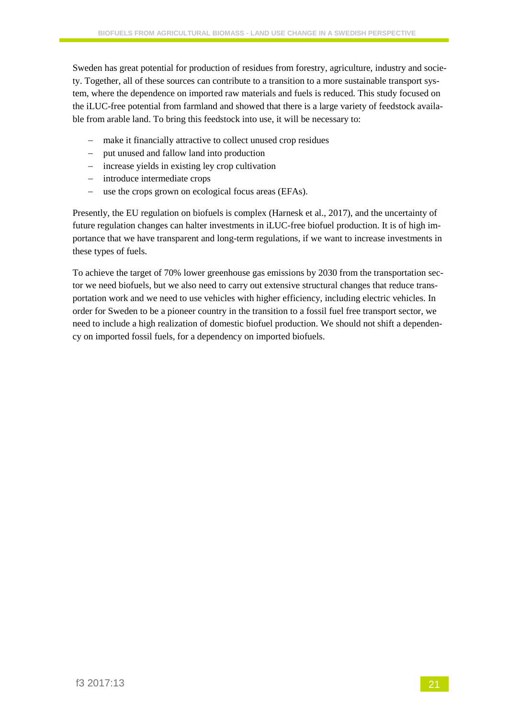Sweden has great potential for production of residues from forestry, agriculture, industry and society. Together, all of these sources can contribute to a transition to a more sustainable transport system, where the dependence on imported raw materials and fuels is reduced. This study focused on the iLUC-free potential from farmland and showed that there is a large variety of feedstock available from arable land. To bring this feedstock into use, it will be necessary to:

- − make it financially attractive to collect unused crop residues
- − put unused and fallow land into production
- − increase yields in existing ley crop cultivation
- − introduce intermediate crops
- − use the crops grown on ecological focus areas (EFAs).

Presently, the EU regulation on biofuels is complex (Harnesk et al., 2017), and the uncertainty of future regulation changes can halter investments in iLUC-free biofuel production. It is of high importance that we have transparent and long-term regulations, if we want to increase investments in these types of fuels.

To achieve the target of 70% lower greenhouse gas emissions by 2030 from the transportation sector we need biofuels, but we also need to carry out extensive structural changes that reduce transportation work and we need to use vehicles with higher efficiency, including electric vehicles. In order for Sweden to be a pioneer country in the transition to a fossil fuel free transport sector, we need to include a high realization of domestic biofuel production. We should not shift a dependency on imported fossil fuels, for a dependency on imported biofuels.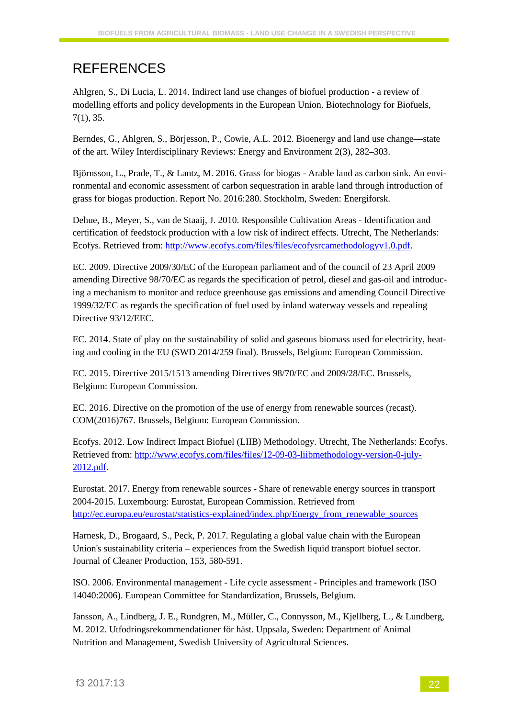## REFERENCES

Ahlgren, S., Di Lucia, L. 2014. Indirect land use changes of biofuel production - a review of modelling efforts and policy developments in the European Union. Biotechnology for Biofuels, 7(1), 35.

Berndes, G., Ahlgren, S., Börjesson, P., Cowie, A.L. 2012. Bioenergy and land use change—state of the art. Wiley Interdisciplinary Reviews: Energy and Environment 2(3), 282–303.

Björnsson, L., Prade, T., & Lantz, M. 2016. Grass for biogas - Arable land as carbon sink. An environmental and economic assessment of carbon sequestration in arable land through introduction of grass for biogas production. Report No. 2016:280. Stockholm, Sweden: Energiforsk.

Dehue, B., Meyer, S., van de Staaij, J. 2010. Responsible Cultivation Areas - Identification and certification of feedstock production with a low risk of indirect effects. Utrecht, The Netherlands: Ecofys. Retrieved from: [http://www.ecofys.com/files/files/ecofysrcamethodologyv1.0.pdf.](http://www.ecofys.com/files/files/ecofysrcamethodologyv1.0.pdf)

EC. 2009. Directive 2009/30/EC of the European parliament and of the council of 23 April 2009 amending Directive 98/70/EC as regards the specification of petrol, diesel and gas-oil and introducing a mechanism to monitor and reduce greenhouse gas emissions and amending Council Directive 1999/32/EC as regards the specification of fuel used by inland waterway vessels and repealing Directive 93/12/EEC.

EC. 2014. State of play on the sustainability of solid and gaseous biomass used for electricity, heating and cooling in the EU (SWD 2014/259 final). Brussels, Belgium: European Commission.

EC. 2015. Directive 2015/1513 amending Directives 98/70/EC and 2009/28/EC. Brussels, Belgium: European Commission.

EC. 2016. Directive on the promotion of the use of energy from renewable sources (recast). COM(2016)767. Brussels, Belgium: European Commission.

Ecofys. 2012. Low Indirect Impact Biofuel (LIIB) Methodology. Utrecht, The Netherlands: Ecofys. Retrieved from[: http://www.ecofys.com/files/files/12-09-03-liibmethodology-version-0-july-](http://www.ecofys.com/files/files/12-09-03-liibmethodology-version-0-july-2012.pdf)[2012.pdf.](http://www.ecofys.com/files/files/12-09-03-liibmethodology-version-0-july-2012.pdf)

Eurostat. 2017. Energy from renewable sources - Share of renewable energy sources in transport 2004-2015. Luxembourg: Eurostat, European Commission. Retrieved from [http://ec.europa.eu/eurostat/statistics-explained/index.php/Energy\\_from\\_renewable\\_sources](http://ec.europa.eu/eurostat/statistics-explained/index.php/Energy_from_renewable_sources)

Harnesk, D., Brogaard, S., Peck, P. 2017. Regulating a global value chain with the European Union's sustainability criteria – experiences from the Swedish liquid transport biofuel sector. Journal of Cleaner Production, 153, 580-591.

ISO. 2006. Environmental management - Life cycle assessment - Principles and framework (ISO 14040:2006). European Committee for Standardization, Brussels, Belgium.

Jansson, A., Lindberg, J. E., Rundgren, M., Müller, C., Connysson, M., Kjellberg, L., & Lundberg, M. 2012. Utfodringsrekommendationer för häst. Uppsala, Sweden: Department of Animal Nutrition and Management, Swedish University of Agricultural Sciences.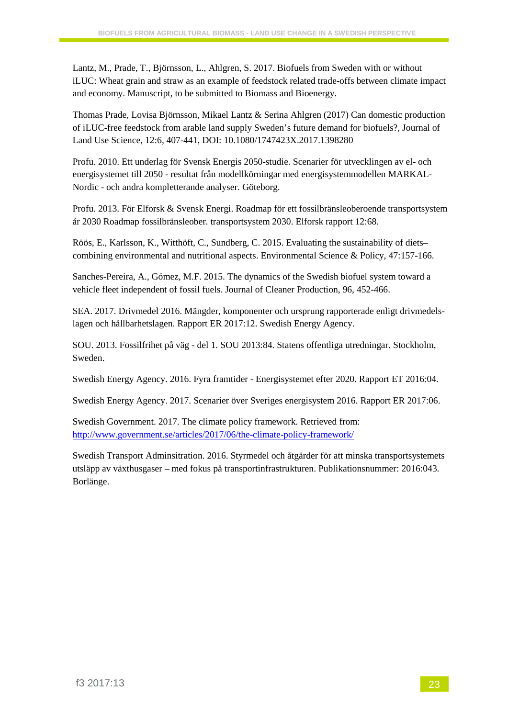Lantz, M., Prade, T., Björnsson, L., Ahlgren, S. 2017. Biofuels from Sweden with or without iLUC: Wheat grain and straw as an example of feedstock related trade-offs between climate impact and economy. Manuscript, to be submitted to Biomass and Bioenergy.

Thomas Prade, Lovisa Björnsson, Mikael Lantz & Serina Ahlgren (2017) Can domestic production of iLUC-free feedstock from arable land supply Sweden's future demand for biofuels?, Journal of Land Use Science, 12:6, 407-441, DOI: 10.1080/1747423X.2017.1398280

Profu. 2010. Ett underlag för Svensk Energis 2050-studie. Scenarier för utvecklingen av el- och energisystemet till 2050 - resultat från modellkörningar med energisystemmodellen MARKAL-Nordic - och andra kompletterande analyser. Göteborg.

Profu. 2013. För Elforsk & Svensk Energi. Roadmap för ett fossilbränsleoberoende transportsystem år 2030 Roadmap fossilbränsleober. transportsystem 2030. Elforsk rapport 12:68.

Röös, E., Karlsson, K., Witthöft, C., Sundberg, C. 2015. Evaluating the sustainability of diets– combining environmental and nutritional aspects. Environmental Science & Policy, 47:157-166.

Sanches-Pereira, A., Gómez, M.F. 2015. The dynamics of the Swedish biofuel system toward a vehicle fleet independent of fossil fuels. Journal of Cleaner Production, 96, 452-466.

SEA. 2017. Drivmedel 2016. Mängder, komponenter och ursprung rapporterade enligt drivmedelslagen och hållbarhetslagen. Rapport ER 2017:12. Swedish Energy Agency.

SOU. 2013. Fossilfrihet på väg - del 1. SOU 2013:84. Statens offentliga utredningar. Stockholm, Sweden.

Swedish Energy Agency. 2016. Fyra framtider - Energisystemet efter 2020. Rapport ET 2016:04.

Swedish Energy Agency. 2017. Scenarier över Sveriges energisystem 2016. Rapport ER 2017:06.

Swedish Government. 2017. The climate policy framework. Retrieved from: <http://www.government.se/articles/2017/06/the-climate-policy-framework/>

Swedish Transport Adminsitration. 2016. Styrmedel och åtgärder för att minska transportsystemets utsläpp av växthusgaser – med fokus på transportinfrastrukturen. Publikationsnummer: 2016:043. Borlänge.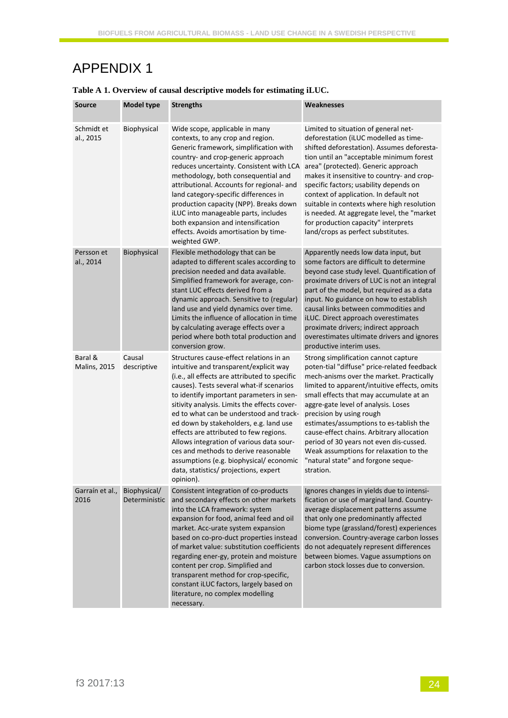### APPENDIX 1

| <b>Source</b>                  | <b>Model type</b>             | <b>Strengths</b>                                                                                                                                                                                                                                                                                                                                                                                                                                                                                                                                                                              | Weaknesses                                                                                                                                                                                                                                                                                                                                                                                                                                                                                                                    |
|--------------------------------|-------------------------------|-----------------------------------------------------------------------------------------------------------------------------------------------------------------------------------------------------------------------------------------------------------------------------------------------------------------------------------------------------------------------------------------------------------------------------------------------------------------------------------------------------------------------------------------------------------------------------------------------|-------------------------------------------------------------------------------------------------------------------------------------------------------------------------------------------------------------------------------------------------------------------------------------------------------------------------------------------------------------------------------------------------------------------------------------------------------------------------------------------------------------------------------|
| Schmidt et<br>al., 2015        | Biophysical                   | Wide scope, applicable in many<br>contexts, to any crop and region.<br>Generic framework, simplification with<br>country- and crop-generic approach<br>reduces uncertainty. Consistent with LCA<br>methodology, both consequential and<br>attributional. Accounts for regional- and<br>land category-specific differences in<br>production capacity (NPP). Breaks down<br>iLUC into manageable parts, includes<br>both expansion and intensification<br>effects. Avoids amortisation by time-<br>weighted GWP.                                                                                | Limited to situation of general net-<br>deforestation (iLUC modelled as time-<br>shifted deforestation). Assumes deforesta-<br>tion until an "acceptable minimum forest<br>area" (protected). Generic approach<br>makes it insensitive to country- and crop-<br>specific factors; usability depends on<br>context of application. In default not<br>suitable in contexts where high resolution<br>is needed. At aggregate level, the "market<br>for production capacity" interprets<br>land/crops as perfect substitutes.     |
| Persson et<br>al., 2014        | Biophysical                   | Flexible methodology that can be<br>adapted to different scales according to<br>precision needed and data available.<br>Simplified framework for average, con-<br>stant LUC effects derived from a<br>dynamic approach. Sensitive to (regular)<br>land use and yield dynamics over time.<br>Limits the influence of allocation in time<br>by calculating average effects over a<br>period where both total production and<br>conversion grow.                                                                                                                                                 | Apparently needs low data input, but<br>some factors are difficult to determine<br>beyond case study level. Quantification of<br>proximate drivers of LUC is not an integral<br>part of the model, but required as a data<br>input. No guidance on how to establish<br>causal links between commodities and<br>iLUC. Direct approach overestimates<br>proximate drivers; indirect approach<br>overestimates ultimate drivers and ignores<br>productive interim uses.                                                          |
| Baral &<br><b>Malins, 2015</b> | Causal<br>descriptive         | Structures cause-effect relations in an<br>intuitive and transparent/explicit way<br>(i.e., all effects are attributed to specific<br>causes). Tests several what-if scenarios<br>to identify important parameters in sen-<br>sitivity analysis. Limits the effects cover-<br>ed to what can be understood and track-<br>ed down by stakeholders, e.g. land use<br>effects are attributed to few regions.<br>Allows integration of various data sour-<br>ces and methods to derive reasonable<br>assumptions (e.g. biophysical/economic<br>data, statistics/ projections, expert<br>opinion). | Strong simplification cannot capture<br>poten-tial "diffuse" price-related feedback<br>mech-anisms over the market. Practically<br>limited to apparent/intuitive effects, omits<br>small effects that may accumulate at an<br>aggre-gate level of analysis. Loses<br>precision by using rough<br>estimates/assumptions to es-tablish the<br>cause-effect chains. Arbitrary allocation<br>period of 30 years not even dis-cussed.<br>Weak assumptions for relaxation to the<br>"natural state" and forgone seque-<br>stration. |
| Garraín et al.,<br>2016        | Biophysical/<br>Deterministic | Consistent integration of co-products<br>and secondary effects on other markets<br>into the LCA framework: system<br>expansion for food, animal feed and oil<br>market. Acc-urate system expansion<br>based on co-pro-duct properties instead<br>of market value: substitution coefficients<br>regarding ener-gy, protein and moisture<br>content per crop. Simplified and<br>transparent method for crop-specific,<br>constant iLUC factors, largely based on<br>literature, no complex modelling<br>necessary.                                                                              | Ignores changes in yields due to intensi-<br>fication or use of marginal land. Country-<br>average displacement patterns assume<br>that only one predominantly affected<br>biome type (grassland/forest) experiences<br>conversion. Country-average carbon losses<br>do not adequately represent differences<br>between biomes. Vague assumptions on<br>carbon stock losses due to conversion.                                                                                                                                |

#### **Table A 1. Overview of causal descriptive models for estimating iLUC.**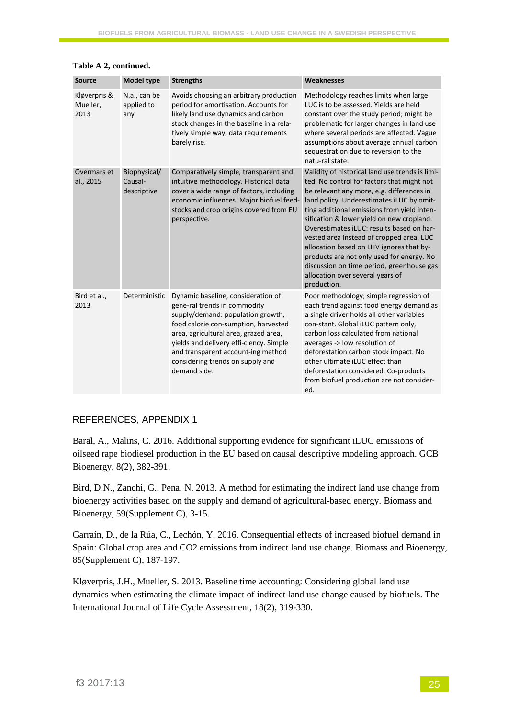| <b>Source</b>                    | <b>Model type</b>                      | <b>Strengths</b>                                                                                                                                                                                                                                                                                                              | Weaknesses                                                                                                                                                                                                                                                                                                                                                                                                                                                                                                                                                            |
|----------------------------------|----------------------------------------|-------------------------------------------------------------------------------------------------------------------------------------------------------------------------------------------------------------------------------------------------------------------------------------------------------------------------------|-----------------------------------------------------------------------------------------------------------------------------------------------------------------------------------------------------------------------------------------------------------------------------------------------------------------------------------------------------------------------------------------------------------------------------------------------------------------------------------------------------------------------------------------------------------------------|
| Kløverpris &<br>Mueller,<br>2013 | N.a., can be<br>applied to<br>any      | Avoids choosing an arbitrary production<br>period for amortisation. Accounts for<br>likely land use dynamics and carbon<br>stock changes in the baseline in a rela-<br>tively simple way, data requirements<br>barely rise.                                                                                                   | Methodology reaches limits when large<br>LUC is to be assessed. Yields are held<br>constant over the study period; might be<br>problematic for larger changes in land use<br>where several periods are affected. Vague<br>assumptions about average annual carbon<br>sequestration due to reversion to the<br>natu-ral state.                                                                                                                                                                                                                                         |
| Overmars et<br>al., 2015         | Biophysical/<br>Causal-<br>descriptive | Comparatively simple, transparent and<br>intuitive methodology. Historical data<br>cover a wide range of factors, including<br>economic influences. Major biofuel feed-<br>stocks and crop origins covered from EU<br>perspective.                                                                                            | Validity of historical land use trends is limi-<br>ted. No control for factors that might not<br>be relevant any more, e.g. differences in<br>land policy. Underestimates iLUC by omit-<br>ting additional emissions from yield inten-<br>sification & lower yield on new cropland.<br>Overestimates iLUC: results based on har-<br>vested area instead of cropped area. LUC<br>allocation based on LHV ignores that by-<br>products are not only used for energy. No<br>discussion on time period, greenhouse gas<br>allocation over several years of<br>production. |
| Bird et al.,<br>2013             | Deterministic                          | Dynamic baseline, consideration of<br>gene-ral trends in commodity<br>supply/demand: population growth,<br>food calorie con-sumption, harvested<br>area, agricultural area, grazed area,<br>yields and delivery effi-ciency. Simple<br>and transparent account-ing method<br>considering trends on supply and<br>demand side. | Poor methodology; simple regression of<br>each trend against food energy demand as<br>a single driver holds all other variables<br>con-stant. Global iLUC pattern only,<br>carbon loss calculated from national<br>averages -> low resolution of<br>deforestation carbon stock impact. No<br>other ultimate iLUC effect than<br>deforestation considered. Co-products<br>from biofuel production are not consider-<br>ed.                                                                                                                                             |

#### **Table A 2, continued.**

#### REFERENCES, APPENDIX 1

Baral, A., Malins, C. 2016. Additional supporting evidence for significant iLUC emissions of oilseed rape biodiesel production in the EU based on causal descriptive modeling approach. GCB Bioenergy, 8(2), 382-391.

Bird, D.N., Zanchi, G., Pena, N. 2013. A method for estimating the indirect land use change from bioenergy activities based on the supply and demand of agricultural-based energy. Biomass and Bioenergy, 59(Supplement C), 3-15.

Garraín, D., de la Rúa, C., Lechón, Y. 2016. Consequential effects of increased biofuel demand in Spain: Global crop area and CO2 emissions from indirect land use change. Biomass and Bioenergy, 85(Supplement C), 187-197.

Kløverpris, J.H., Mueller, S. 2013. Baseline time accounting: Considering global land use dynamics when estimating the climate impact of indirect land use change caused by biofuels. The International Journal of Life Cycle Assessment, 18(2), 319-330.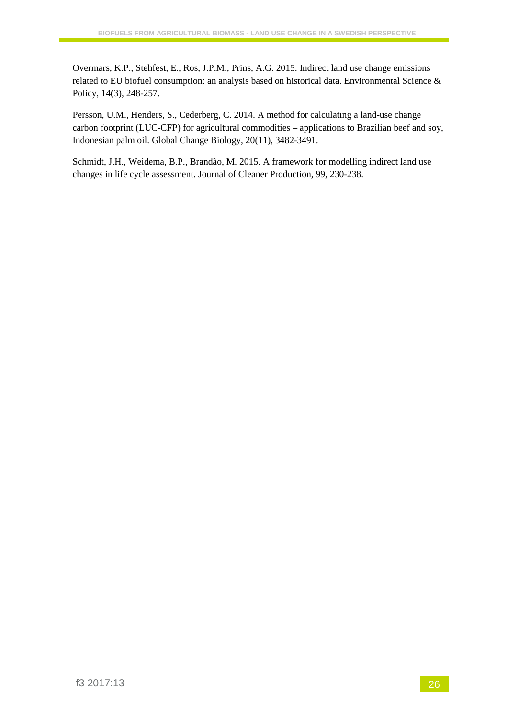Overmars, K.P., Stehfest, E., Ros, J.P.M., Prins, A.G. 2015. Indirect land use change emissions related to EU biofuel consumption: an analysis based on historical data. Environmental Science & Policy, 14(3), 248-257.

Persson, U.M., Henders, S., Cederberg, C. 2014. A method for calculating a land-use change carbon footprint (LUC-CFP) for agricultural commodities – applications to Brazilian beef and soy, Indonesian palm oil. Global Change Biology, 20(11), 3482-3491.

Schmidt, J.H., Weidema, B.P., Brandão, M. 2015. A framework for modelling indirect land use changes in life cycle assessment. Journal of Cleaner Production, 99, 230-238.